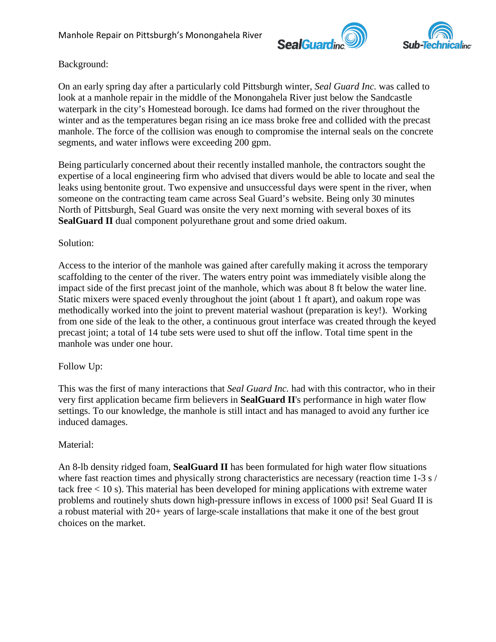



## Background:

On an early spring day after a particularly cold Pittsburgh winter, *Seal Guard Inc.* was called to look at a manhole repair in the middle of the Monongahela River just below the Sandcastle waterpark in the city's Homestead borough. Ice dams had formed on the river throughout the winter and as the temperatures began rising an ice mass broke free and collided with the precast manhole. The force of the collision was enough to compromise the internal seals on the concrete segments, and water inflows were exceeding 200 gpm.

Being particularly concerned about their recently installed manhole, the contractors sought the expertise of a local engineering firm who advised that divers would be able to locate and seal the leaks using bentonite grout. Two expensive and unsuccessful days were spent in the river, when someone on the contracting team came across Seal Guard's website. Being only 30 minutes North of Pittsburgh, Seal Guard was onsite the very next morning with several boxes of its **SealGuard II** dual component polyurethane grout and some dried oakum.

## Solution:

Access to the interior of the manhole was gained after carefully making it across the temporary scaffolding to the center of the river. The waters entry point was immediately visible along the impact side of the first precast joint of the manhole, which was about 8 ft below the water line. Static mixers were spaced evenly throughout the joint (about 1 ft apart), and oakum rope was methodically worked into the joint to prevent material washout (preparation is key!). Working from one side of the leak to the other, a continuous grout interface was created through the keyed precast joint; a total of 14 tube sets were used to shut off the inflow. Total time spent in the manhole was under one hour.

## Follow Up:

This was the first of many interactions that *Seal Guard Inc.* had with this contractor, who in their very first application became firm believers in **SealGuard II**'s performance in high water flow settings. To our knowledge, the manhole is still intact and has managed to avoid any further ice induced damages.

### Material:

An 8-lb density ridged foam, **SealGuard II** has been formulated for high water flow situations where fast reaction times and physically strong characteristics are necessary (reaction time 1-3 s / tack free < 10 s). This material has been developed for mining applications with extreme water problems and routinely shuts down high-pressure inflows in excess of 1000 psi! Seal Guard II is a robust material with 20+ years of large-scale installations that make it one of the best grout choices on the market.